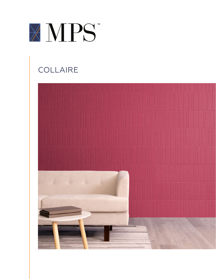

# **COLLAIRE**

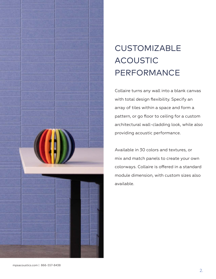

# **CUSTOMIZABLE** ACOUSTIC PERFORMANCE

Collaire turns any wall into a blank canvas with total design flexibility. Specify an array of tiles within a space and form a pattern, or go floor to ceiling for a custom architectural wall-cladding look, while also providing acoustic performance.

Available in 30 colors and textures, or mix and match panels to create your own colorways. Collaire is offered in a standard module dimension, with custom sizes also available.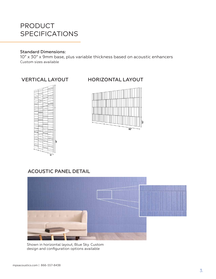# PRODUCT SPECIFICATIONS

#### Standard Dimensions:

10" x 30" x 9mm base, plus variable thickness based on acoustic enhancers Custom sizes available



# VERTICAL LAYOUT HORIZONTAL LAYOUT



# ACOUSTIC PANEL DETAIL



Shown in horizontal layout, Blue Sky. Custom design and configuration options available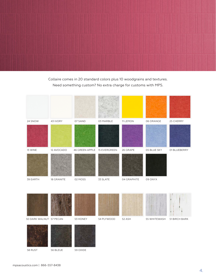Collaire comes in 20 standard colors plus 10 woodgrains and textures. Need something custom? No extra charge for customs with MPS.





58 RUST

56 BLEUE 59 OXIDE